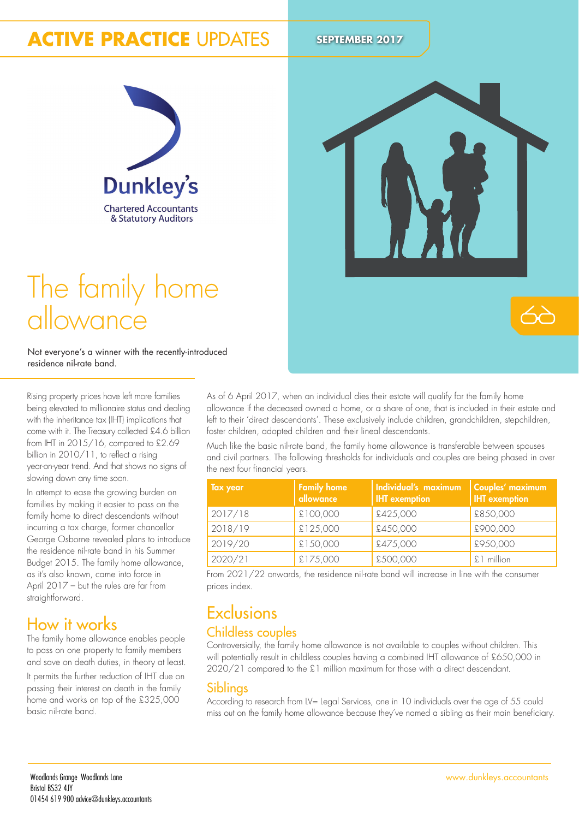# **ACTIVE PRACTICE UPDATES** SEPTEMBER 2017



# The family home allowance

Not everyone's a winner with the recently-introduced residence nil-rate band.

Rising property prices have left more families being elevated to millionaire status and dealing with the inheritance tax (IHT) implications that come with it. The Treasury collected £4.6 billion from IHT in 2015/16, compared to £2.69 billion in 2010/11, to reflect a rising year-on-year trend. And that shows no signs of slowing down any time soon.

In attempt to ease the growing burden on families by making it easier to pass on the family home to direct descendants without incurring a tax charge, former chancellor George Osborne revealed plans to introduce the residence nil-rate band in his Summer Budget 2015. The family home allowance, as it's also known, came into force in April 2017 – but the rules are far from straightforward.

## How it works

The family home allowance enables people to pass on one property to family members and save on death duties, in theory at least.

It permits the further reduction of IHT due on passing their interest on death in the family home and works on top of the £325,000 basic nil-rate band.

As of 6 April 2017, when an individual dies their estate will qualify for the family home allowance if the deceased owned a home, or a share of one, that is included in their estate and left to their 'direct descendants'. These exclusively include children, grandchildren, stepchildren, foster children, adopted children and their lineal descendants.

Much like the basic nil-rate band, the family home allowance is transferable between spouses and civil partners. The following thresholds for individuals and couples are being phased in over the next four financial years.

| <b>Tax year</b> | <b>Family home</b><br>allowance | Individual's maximum<br><b>IHT</b> exemption | Couples' maximum<br><b>IHT</b> exemption |
|-----------------|---------------------------------|----------------------------------------------|------------------------------------------|
| 2017/18         | £100,000                        | £425,000                                     | £850,000                                 |
| 2018/19         | £125,000                        | £450,000                                     | £900,000                                 |
| 2019/20         | £150,000                        | £475,000                                     | £950,000                                 |
| 2020/21         | £175,000                        | £500,000                                     | £1 million                               |

From 2021/22 onwards, the residence nil-rate band will increase in line with the consumer prices index.

## **Exclusions** Childless couples

Controversially, the family home allowance is not available to couples without children. This will potentially result in childless couples having a combined IHT allowance of £650,000 in 2020/21 compared to the £1 million maximum for those with a direct descendant.

### Siblings

According to research from LV= Legal Services, one in 10 individuals over the age of 55 could miss out on the family home allowance because they've named a sibling as their main beneiciary.